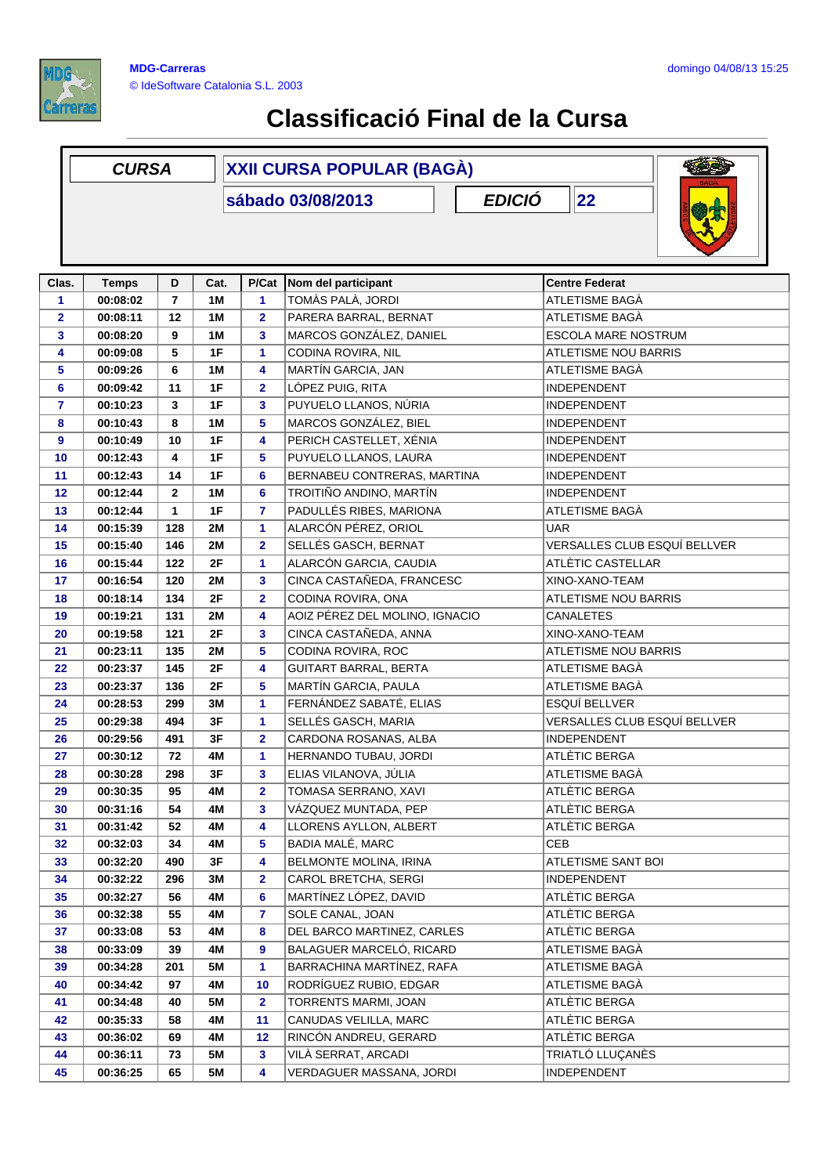

## **Classificació Final de la Cursa**

|              | <b>CURSA</b>                             |                         |           | <b>XXII CURSA POPULAR (BAGÀ)</b> |                                |                              |  |  |
|--------------|------------------------------------------|-------------------------|-----------|----------------------------------|--------------------------------|------------------------------|--|--|
|              | <b>EDICIÓ</b><br>22<br>sábado 03/08/2013 |                         |           |                                  |                                |                              |  |  |
| Clas.        | <b>Temps</b>                             | D                       | Cat.      | P/Cat                            | Nom del participant            | <b>Centre Federat</b>        |  |  |
| 1            | 00:08:02                                 | $\overline{\mathbf{r}}$ | 1M        | 1                                | TOMÀS PALÀ, JORDI              | ATLETISME BAGÀ               |  |  |
| $\mathbf{2}$ | 00:08:11                                 | 12                      | 1M        | $\overline{\mathbf{2}}$          | PARERA BARRAL, BERNAT          | ATLETISME BAGÀ               |  |  |
| 3            | 00:08:20                                 | 9                       | 1M        | 3                                | MARCOS GONZÁLEZ, DANIEL        | ESCOLA MARE NOSTRUM          |  |  |
| 4            | 00:09:08                                 | 5                       | 1F        | 1                                | CODINA ROVIRA, NIL             | <b>ATLETISME NOU BARRIS</b>  |  |  |
| 5            | 00:09:26                                 | 6                       | 1M        | 4                                | MARTÍN GARCIA, JAN             | ATLETISME BAGÀ               |  |  |
| 6            | 00:09:42                                 | 11                      | 1F        | $\overline{\mathbf{2}}$          | LÓPEZ PUIG, RITA               | <b>INDEPENDENT</b>           |  |  |
| 7            | 00:10:23                                 | 3                       | 1F        | 3                                | PUYUELO LLANOS, NÚRIA          | <b>INDEPENDENT</b>           |  |  |
| 8            | 00:10:43                                 | 8                       | 1M        | 5                                | MARCOS GONZÁLEZ, BIEL          | <b>INDEPENDENT</b>           |  |  |
| 9            | 00:10:49                                 | 10                      | 1F        | 4                                | PERICH CASTELLET, XÉNIA        | <b>INDEPENDENT</b>           |  |  |
| 10           | 00:12:43                                 | 4                       | 1F        | 5                                | PUYUELO LLANOS, LAURA          | <b>INDEPENDENT</b>           |  |  |
| 11           | 00:12:43                                 | 14                      | 1F        | 6                                | BERNABEU CONTRERAS, MARTINA    | <b>INDEPENDENT</b>           |  |  |
| 12           | 00:12:44                                 | $\mathbf{2}$            | 1M        | 6                                | TROITIÑO ANDINO, MARTÍN        | INDEPENDENT                  |  |  |
| 13           | 00:12:44                                 | $\mathbf{1}$            | 1F        | 7                                | PADULLÉS RIBES, MARIONA        | ATLETISME BAGÀ               |  |  |
| 14           | 00:15:39                                 | 128                     | 2M        | 1                                | ALARCÓN PÉREZ, ORIOL           | <b>UAR</b>                   |  |  |
| 15           | 00:15:40                                 | 146                     | <b>2M</b> | $\mathbf{2}$                     | SELLÉS GASCH, BERNAT           | VERSALLES CLUB ESQUÍ BELLVER |  |  |
| 16           | 00:15:44                                 | 122                     | 2F        | 1                                | ALARCÓN GARCIA, CAUDIA         | ATLÈTIC CASTELLAR            |  |  |
| 17           | 00:16:54                                 | 120                     | <b>2M</b> | 3                                | CINCA CASTAÑEDA, FRANCESC      | XINO-XANO-TEAM               |  |  |
| 18           | 00:18:14                                 | 134                     | 2F        | $\overline{2}$                   | CODINA ROVIRA, ONA             | <b>ATLETISME NOU BARRIS</b>  |  |  |
| 19           | 00:19:21                                 | 131                     | <b>2M</b> | 4                                | AOIZ PÉREZ DEL MOLINO, IGNACIO | <b>CANALETES</b>             |  |  |
| 20           | 00:19:58                                 | 121                     | 2F        | 3                                | CINCA CASTAÑEDA, ANNA          | XINO-XANO-TEAM               |  |  |
| 21           | 00:23:11                                 | 135                     | 2M        | 5                                | CODINA ROVIRA, ROC             | <b>ATLETISME NOU BARRIS</b>  |  |  |
| 22           | 00:23:37                                 | 145                     | 2F        | 4                                | <b>GUITART BARRAL, BERTA</b>   | ATLETISME BAGÀ               |  |  |
| 23           | 00:23:37                                 | 136                     | 2F        | 5                                | MARTÍN GARCIA, PAULA           | ATLETISME BAGÀ               |  |  |
| 24           | 00:28:53                                 | 299                     | 3M        | 1                                | FERNÁNDEZ SABATÉ, ELIAS        | ESQUÍ BELLVER                |  |  |
| 25           | 00:29:38                                 | 494                     | 3F        | 1                                | SELLÉS GASCH, MARIA            | VERSALLES CLUB ESQUÍ BELLVER |  |  |
| 26           | 00:29:56                                 | 491                     | 3F        | $\mathbf{2}$                     | CARDONA ROSANAS, ALBA          | <b>INDEPENDENT</b>           |  |  |
| 27           | 00:30:12                                 | 72                      | 4M        | 1                                | HERNANDO TUBAU, JORDI          | ATLÈTIC BERGA                |  |  |
| 28           | 00:30:28                                 | 298                     | 3F        | 3                                | ELIAS VILANOVA, JÚLIA          | ATLETISME BAGÀ               |  |  |
| 29           | 00:30:35                                 | 95                      | 4M        |                                  | TOMASA SERRANO, XAVI           | ATLÈTIC BERGA                |  |  |
| 30           | 00:31:16                                 | 54                      | 4M        | 2<br>3                           | VÁZQUEZ MUNTADA, PEP           | ATLÈTIC BERGA                |  |  |
| 31           | 00:31:42                                 | 52                      | 4M        | 4                                | LLORENS AYLLON, ALBERT         | ATLÈTIC BERGA                |  |  |
| 32           | 00:32:03                                 | 34                      | 4M        | 5                                | <b>BADIA MALÉ, MARC</b>        | CEB                          |  |  |
| 33           | 00:32:20                                 | 490                     | 3F        | 4                                | BELMONTE MOLINA, IRINA         | ATLETISME SANT BOI           |  |  |
| 34           | 00:32:22                                 | 296                     | 3M        | 2                                | CAROL BRETCHA, SERGI           | <b>INDEPENDENT</b>           |  |  |
| 35           | 00:32:27                                 | 56                      | 4M        | 6                                | MARTÍNEZ LÓPEZ, DAVID          | ATLÈTIC BERGA                |  |  |
| 36           | 00:32:38                                 | 55                      | 4M        | 7                                | SOLE CANAL, JOAN               | ATLÈTIC BERGA                |  |  |
| 37           | 00:33:08                                 | 53                      | 4M        | 8                                | DEL BARCO MARTINEZ, CARLES     | ATLÈTIC BERGA                |  |  |
| 38           | 00:33:09                                 | 39                      | 4M        | 9                                | BALAGUER MARCELÓ, RICARD       | ATLETISME BAGÀ               |  |  |
| 39           | 00:34:28                                 | 201                     | 5M        | 1                                | BARRACHINA MARTÍNEZ, RAFA      | ATLETISME BAGÀ               |  |  |
| 40           | 00:34:42                                 | 97                      | 4M        | 10                               | RODRÍGUEZ RUBIO, EDGAR         | ATLETISME BAGÀ               |  |  |
| 41           | 00:34:48                                 | 40                      | 5M        | $\mathbf{2}$                     | TORRENTS MARMI, JOAN           | ATLÈTIC BERGA                |  |  |
| 42           | 00:35:33                                 | 58                      | 4M        | 11                               | CANUDAS VELILLA, MARC          | ATLÈTIC BERGA                |  |  |
|              |                                          | 69                      | 4M        | 12                               | RINCÓN ANDREU, GERARD          | ATLÈTIC BERGA                |  |  |
| 43<br>44     | 00:36:02<br>00:36:11                     | 73                      | <b>5M</b> | 3                                | VILÀ SERRAT, ARCADI            | TRIATLÓ LLUÇANÈS             |  |  |
|              |                                          |                         |           |                                  |                                | <b>INDEPENDENT</b>           |  |  |
| 45           | 00:36:25                                 | 65                      | 5M        | 4                                | VERDAGUER MASSANA, JORDI       |                              |  |  |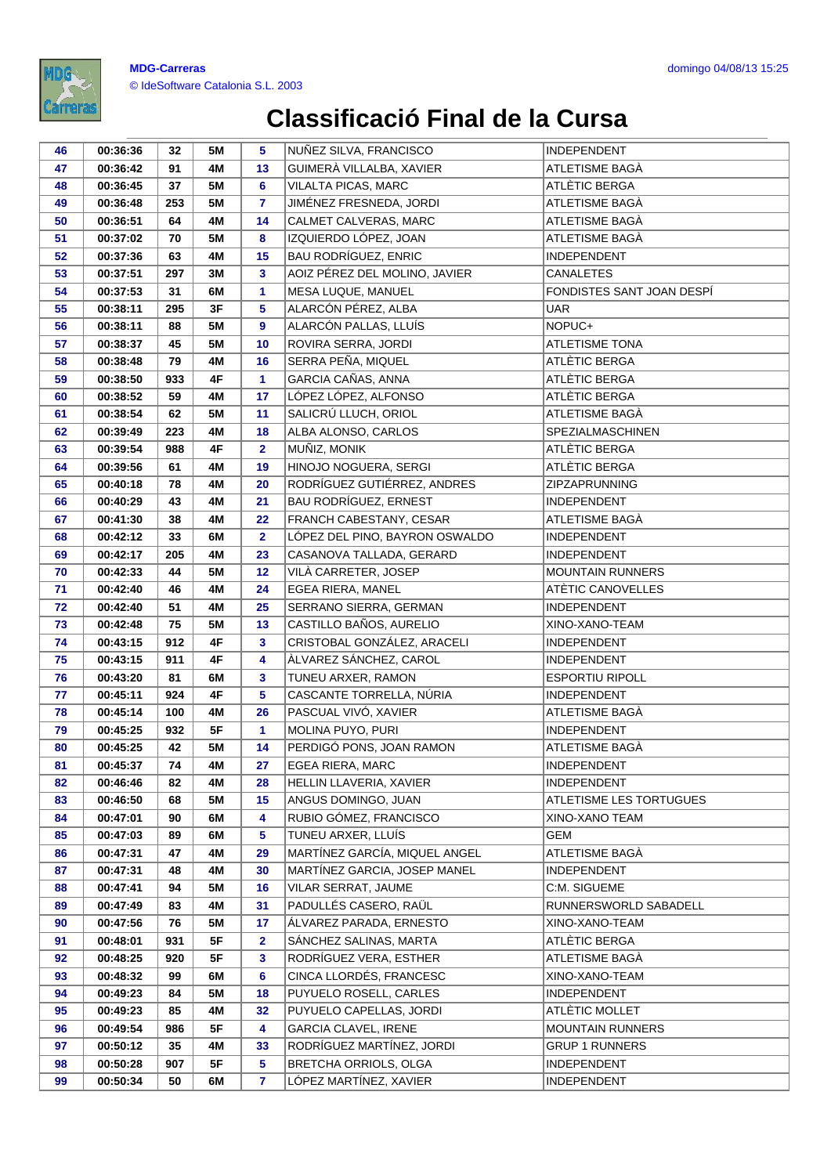

## **Classificació Final de la Cursa**

| 46       | 00:36:36             | 32       | <b>5M</b> | 5              | NUÑEZ SILVA, FRANCISCO                              | INDEPENDENT               |
|----------|----------------------|----------|-----------|----------------|-----------------------------------------------------|---------------------------|
| 47       | 00:36:42             | 91       | 4M        | 13             | GUIMERÀ VILLALBA, XAVIER                            | ATLETISME BAGÀ            |
| 48       | 00:36:45             | 37       | <b>5M</b> | 6              | VILALTA PICAS, MARC                                 | ATLÈTIC BERGA             |
| 49       | 00:36:48             | 253      | <b>5M</b> | $\overline{7}$ | JIMÉNEZ FRESNEDA, JORDI                             | ATLETISME BAGÀ            |
| 50       | 00:36:51             | 64       | 4M        | 14             | CALMET CALVERAS, MARC                               | ATLETISME BAGÀ            |
| 51       | 00:37:02             | 70       | <b>5M</b> | 8              | IZQUIERDO LÓPEZ, JOAN                               | ATLETISME BAGÀ            |
| 52       | 00:37:36             | 63       | 4M        | 15             | <b>BAU RODRÍGUEZ, ENRIC</b>                         | <b>INDEPENDENT</b>        |
| 53       | 00:37:51             | 297      | 3M        | 3              | AOIZ PÉREZ DEL MOLINO, JAVIER                       | CANALETES                 |
| 54       | 00:37:53             | 31       | 6M        | 1              | MESA LUQUE, MANUEL                                  | FONDISTES SANT JOAN DESPÍ |
| 55       | 00:38:11             | 295      | 3F        | 5              | ALARCÓN PÉREZ, ALBA                                 | <b>UAR</b>                |
| 56       | 00:38:11             | 88       | <b>5M</b> | 9              | ALARCÓN PALLAS, LLUÍS                               | NOPUC+                    |
| 57       | 00:38:37             | 45       | <b>5M</b> | 10             | ROVIRA SERRA, JORDI                                 | <b>ATLETISME TONA</b>     |
| 58       | 00:38:48             | 79       | 4M        | 16             | SERRA PEÑA, MIQUEL                                  | ATLÈTIC BERGA             |
| 59       | 00:38:50             | 933      | 4F        | $\mathbf{1}$   | GARCIA CAÑAS, ANNA                                  | ATLÈTIC BERGA             |
| 60       | 00:38:52             | 59       | 4M        | 17             | LÓPEZ LÓPEZ, ALFONSO                                | ATLÈTIC BERGA             |
| 61       | 00:38:54             | 62       | <b>5M</b> | 11             | SALICRÚ LLUCH, ORIOL                                | ATLETISME BAGÀ            |
| 62       | 00:39:49             | 223      | 4M        | 18             | ALBA ALONSO, CARLOS                                 | SPEZIALMASCHINEN          |
| 63       | 00:39:54             | 988      | 4F        | $\overline{2}$ | MUÑIZ, MONIK                                        | ATLÈTIC BERGA             |
| 64       | 00:39:56             | 61       | 4M        | 19             | HINOJO NOGUERA, SERGI                               | ATLÈTIC BERGA             |
| 65       | 00:40:18             | 78       | 4M        | 20             | RODRÍGUEZ GUTIÉRREZ, ANDRES                         | <b>ZIPZAPRUNNING</b>      |
| 66       | 00:40:29             | 43       | 4M        | 21             | <b>BAU RODRÍGUEZ, ERNEST</b>                        | <b>INDEPENDENT</b>        |
| 67       | 00:41:30             | 38       | 4M        | 22             | FRANCH CABESTANY, CESAR                             | ATLETISME BAGÀ            |
| 68       | 00:42:12             | 33       | 6M        | $\overline{2}$ | LÓPEZ DEL PINO, BAYRON OSWALDO                      | <b>INDEPENDENT</b>        |
| 69       | 00:42:17             | 205      | 4M        | 23             | CASANOVA TALLADA, GERARD                            | <b>INDEPENDENT</b>        |
| 70       | 00:42:33             | 44       | <b>5M</b> | 12             | VILÀ CARRETER, JOSEP                                | <b>MOUNTAIN RUNNERS</b>   |
| 71       | 00:42:40             | 46       | 4M        | 24             | EGEA RIERA, MANEL                                   | ATÈTIC CANOVELLES         |
| 72       | 00:42:40             | 51       | 4M        | 25             | SERRANO SIERRA, GERMAN                              | <b>INDEPENDENT</b>        |
| 73       | 00:42:48             | 75       | <b>5M</b> | 13             | CASTILLO BAÑOS, AURELIO                             | XINO-XANO-TEAM            |
| 74       | 00:43:15             | 912      | 4F        | 3              | CRISTOBAL GONZÁLEZ, ARACELI                         | <b>INDEPENDENT</b>        |
| 75       | 00:43:15             | 911      | 4F        | 4              | ÀLVAREZ SÁNCHEZ, CAROL                              | <b>INDEPENDENT</b>        |
| 76       | 00:43:20             | 81       | 6M        | 3              | TUNEU ARXER, RAMON                                  | <b>ESPORTIU RIPOLL</b>    |
| 77       | 00:45:11             | 924      | 4F        | 5              | CASCANTE TORRELLA, NÚRIA                            | <b>INDEPENDENT</b>        |
| 78       | 00:45:14             | 100      | 4M        | 26             | PASCUAL VIVÓ, XAVIER                                | ATLETISME BAGÀ            |
| 79       | 00:45:25             | 932      | 5F        | $\mathbf{1}$   | MOLINA PUYO, PURI                                   | <b>INDEPENDENT</b>        |
| 80       | 00:45:25             | 42       | <b>5M</b> | 14             | PERDIGÓ PONS, JOAN RAMON                            | ATLETISME BAGÀ            |
| 81       | 00:45:37             | 74       | 4M        | 27             | EGEA RIERA, MARC                                    | <b>INDEPENDENT</b>        |
| 82       | 00:46:46             | 82       | 4M        | 28             | HELLIN LLAVERIA, XAVIER                             | <b>INDEPENDENT</b>        |
| 83       | 00:46:50             | 68       | <b>5M</b> | 15             | ANGUS DOMINGO, JUAN                                 | ATLETISME LES TORTUGUES   |
| 84       | 00:47:01             | 90       | 6M        | 4              | RUBIO GÓMEZ, FRANCISCO                              | XINO-XANO TEAM            |
| 85<br>86 | 00:47:03<br>00:47:31 | 89<br>47 | 6M<br>4M  | 5<br>29        | TUNEU ARXER, LLUÍS<br>MARTÍNEZ GARCÍA, MIQUEL ANGEL | GEM<br>ATLETISME BAGÀ     |
| 87       |                      | 48       | 4M        | 30             | MARTÍNEZ GARCIA, JOSEP MANEL                        | <b>INDEPENDENT</b>        |
| 88       | 00:47:31<br>00:47:41 | 94       | <b>5M</b> | 16             | VILAR SERRAT, JAUME                                 | C:M. SIGUEME              |
| 89       | 00:47:49             | 83       | 4M        | 31             | PADULLÉS CASERO, RAÜL                               | RUNNERSWORLD SABADELL     |
| 90       | 00:47:56             | 76       | <b>5M</b> | 17             | ALVAREZ PARADA, ERNESTO                             | XINO-XANO-TEAM            |
| 91       | 00:48:01             | 931      | 5F        | $\mathbf{2}$   | SÁNCHEZ SALINAS, MARTA                              | ATLÈTIC BERGA             |
| 92       | 00:48:25             | 920      | 5F        | 3              | RODRÍGUEZ VERA, ESTHER                              | ATLETISME BAGÀ            |
| 93       | 00:48:32             | 99       | 6M        | 6              | CINCA LLORDÉS, FRANCESC                             | XINO-XANO-TEAM            |
| 94       | 00:49:23             | 84       | <b>5M</b> | 18             | PUYUELO ROSELL, CARLES                              | <b>INDEPENDENT</b>        |
| 95       | 00:49:23             | 85       | 4M        | 32             | PUYUELO CAPELLAS, JORDI                             | ATLÈTIC MOLLET            |
| 96       | 00:49:54             | 986      | 5F        | 4              | <b>GARCIA CLAVEL, IRENE</b>                         | MOUNTAIN RUNNERS          |
| 97       | 00:50:12             | 35       | 4M        | 33             | RODRÍGUEZ MARTÍNEZ, JORDI                           | <b>GRUP 1 RUNNERS</b>     |
| 98       | 00:50:28             | 907      | 5F        | 5              | BRETCHA ORRIOLS, OLGA                               | <b>INDEPENDENT</b>        |
| 99       | 00:50:34             | 50       | 6M        | 7              | LÓPEZ MARTÍNEZ, XAVIER                              | INDEPENDENT               |
|          |                      |          |           |                |                                                     |                           |